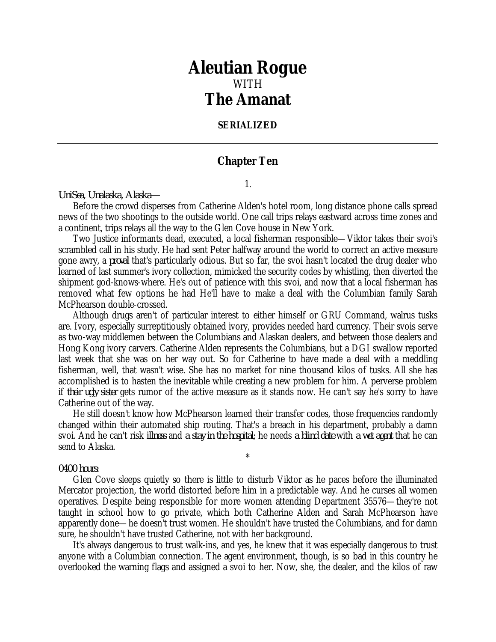## *Aleutian Rogue* WITH *The Amanat*

## **SERIALIZED**

## **Chapter Ten**

1.

*UniSea, Unalaska, Alaska—*

Before the crowd disperses from Catherine Alden's hotel room, long distance phone calls spread news of the two shootings to the outside world. One call trips relays eastward across time zones and a continent, trips relays all the way to the Glen Cove house in New York.

Two Justice informants dead, executed, a local fisherman responsible—Viktor takes their svoi's scrambled call in his study. He had sent Peter halfway around the world to correct an active measure gone awry, a *proval* that's particularly odious. But so far, the svoi hasn't located the drug dealer who learned of last summer's ivory collection, mimicked the security codes by whistling, then diverted the shipment god-knows-where. He's out of patience with this svoi, and now that a local fisherman has removed what few options he had He'll have to make a deal with the Columbian family Sarah McPhearson double-crossed.

Although drugs aren't of particular interest to either himself or GRU Command, walrus tusks are. Ivory, especially surreptitiously obtained ivory, provides needed hard currency. Their svois serve as two-way middlemen between the Columbians and Alaskan dealers, and between those dealers and Hong Kong ivory carvers. Catherine Alden represents the Columbians, but a DGI swallow reported last week that she was on her way out. So for Catherine to have made a deal with a meddling fisherman, well, that wasn't wise. She has no market for nine thousand kilos of tusks. All she has accomplished is to hasten the inevitable while creating a new problem for him. A perverse problem if *their ugly sister* gets rumor of the active measure as it stands now. He can't say he's sorry to have Catherine out of the way.

He still doesn't know how McPhearson learned their transfer codes, those frequencies randomly changed within their automated ship routing. That's a breach in his department, probably a damn svoi. And he can't risk *illness* and *a stay in the hospital*; he needs *a blind date* with *a wet agent* that he can send to Alaska.

\*

## *0400 hours:*

Glen Cove sleeps quietly so there is little to disturb Viktor as he paces before the illuminated Mercator projection, the world distorted before him in a predictable way. And he curses all women operatives. Despite being responsible for more women attending Department 35576—they're not taught in school how to go private, which both Catherine Alden and Sarah McPhearson have apparently done—he doesn't trust women. He shouldn't have trusted the Columbians, and for damn sure, he shouldn't have trusted Catherine, not with her background.

It's always dangerous to trust walk-ins, and yes, he knew that it was especially dangerous to trust anyone with a Columbian connection. The agent environment, though, is so bad in this country he overlooked the warning flags and assigned a svoi to her. Now, she, the dealer, and the kilos of raw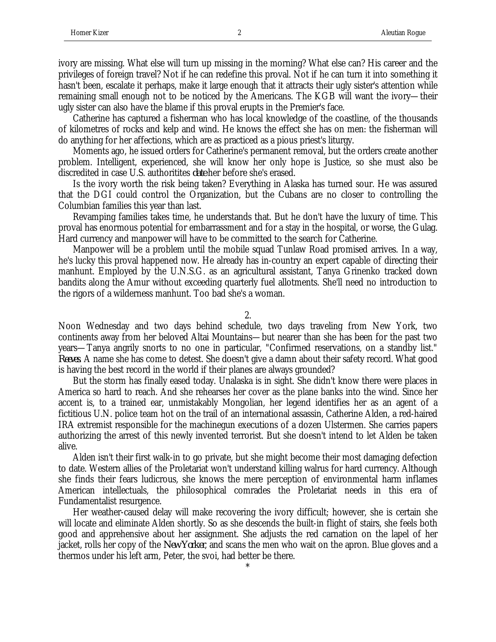ivory are missing. What else will turn up missing in the morning? What else can? His career and the privileges of foreign travel? Not if he can redefine this proval. Not if he can turn it into something it hasn't been, escalate it perhaps, make it large enough that it attracts their ugly sister's attention while remaining small enough not to be noticed by the Americans. The KGB will want the ivory—their ugly sister can also have the blame if this proval erupts in the Premier's face.

Catherine has captured a fisherman who has local knowledge of the coastline, of the thousands of kilometres of rocks and kelp and wind. He knows the effect she has on men: the fisherman will do anything for her affections, which are as practiced as a pious priest's liturgy.

Moments ago, he issued orders for Catherine's permanent removal, but the orders create another problem. Intelligent, experienced, she will know her only hope is Justice, so she must also be discredited in case U.S. authoritites *date* her before she's erased.

Is the ivory worth the risk being taken? Everything in Alaska has turned sour. He was assured that the DGI could control the Organization, but the Cubans are no closer to controlling the Columbian families this year than last.

Revamping families takes time, he understands that. But he don't have the luxury of time. This proval has enormous potential for embarrassment and for a stay in the hospital, or worse, the Gulag. Hard currency and manpower will have to be committed to the search for Catherine.

Manpower will be a problem until the mobile squad Tunlaw Road promised arrives. In a way, he's lucky this proval happened now. He already has in-country an expert capable of directing their manhunt. Employed by the U.N.S.G. as an agricultural assistant, Tanya Grinenko tracked down bandits along the Amur without exceeding quarterly fuel allotments. She'll need no introduction to the rigors of a wilderness manhunt. Too bad she's a woman.

2.

Noon Wednesday and two days behind schedule, two days traveling from New York, two continents away from her beloved Altai Mountains—but nearer than she has been for the past two years—Tanya angrily snorts to no one in particular, "Confirmed reservations, on a standby list." *Reeves*. A name she has come to detest. She doesn't give a damn about their safety record. What good is having the best record in the world if their planes are always grounded?

But the storm has finally eased today. Unalaska is in sight. She didn't know there were places in America so hard to reach. And she rehearses her cover as the plane banks into the wind. Since her accent is, to a trained ear, unmistakably Mongolian, her legend identifies her as an agent of a fictitious U.N. police team hot on the trail of an international assassin, Catherine Alden, a red-haired IRA extremist responsible for the machinegun executions of a dozen Ulstermen. She carries papers authorizing the arrest of this newly invented terrorist. But she doesn't intend to let Alden be taken alive.

Alden isn't their first walk-in to go private, but she might become their most damaging defection to date. Western allies of the Proletariat won't understand killing walrus for hard currency. Although she finds their fears ludicrous, she knows the mere perception of environmental harm inflames American intellectuals, the philosophical comrades the Proletariat needs in this era of Fundamentalist resurgence.

Her weather-caused delay will make recovering the ivory difficult; however, she is certain she will locate and eliminate Alden shortly. So as she descends the built-in flight of stairs, she feels both good and apprehensive about her assignment. She adjusts the red carnation on the lapel of her jacket, rolls her copy of the *New Yorker*, and scans the men who wait on the apron. Blue gloves and a thermos under his left arm, Peter, the svoi, had better be there.

\*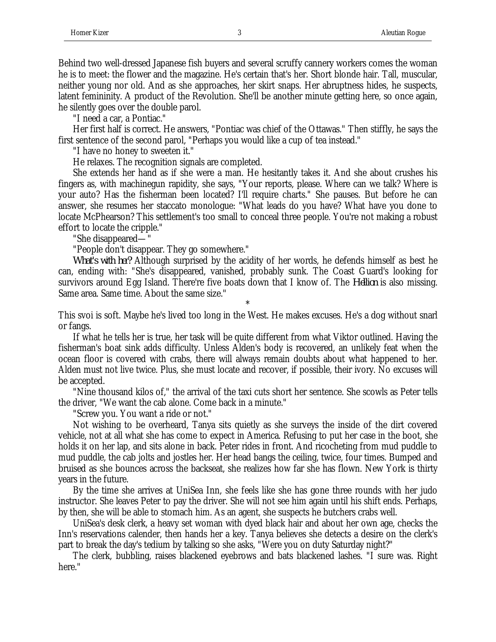Behind two well-dressed Japanese fish buyers and several scruffy cannery workers comes the woman he is to meet: the flower and the magazine. He's certain that's her. Short blonde hair. Tall, muscular, neither young nor old. And as she approaches, her skirt snaps. Her abruptness hides, he suspects, latent femininity. A product of the Revolution. She'll be another minute getting here, so once again, he silently goes over the double parol.

"I need a car, a Pontiac."

Her first half is correct. He answers, "Pontiac was chief of the Ottawas." Then stiffly, he says the first sentence of the second parol, "Perhaps you would like a cup of tea instead."

"I have no honey to sweeten it."

He relaxes. The recognition signals are completed.

She extends her hand as if she were a man. He hesitantly takes it. And she about crushes his fingers as, with machinegun rapidity, she says, "Your reports, please. Where can we talk? Where is your auto? Has the fisherman been located? I'll require charts." She pauses. But before he can answer, she resumes her staccato monologue: "What leads do you have? What have you done to locate McPhearson? This settlement's too small to conceal three people. You're not making a robust effort to locate the cripple."

"She disappeared—"

"People don't disappear. They go somewhere."

*What's with her?* Although surprised by the acidity of her words, he defends himself as best he can, ending with: "She's disappeared, vanished, probably sunk. The Coast Guard's looking for survivors around Egg Island. There're five boats down that I know of. The *Hellion* is also missing. Same area. Same time. About the same size."

\* This svoi is soft. Maybe he's lived too long in the West. He makes excuses. He's a dog without snarl or fangs.

If what he tells her is true, her task will be quite different from what Viktor outlined. Having the fisherman's boat sink adds difficulty. Unless Alden's body is recovered, an unlikely feat when the ocean floor is covered with crabs, there will always remain doubts about what happened to her. Alden must not live twice. Plus, she must locate and recover, if possible, their ivory. No excuses will be accepted.

"Nine thousand kilos of," the arrival of the taxi cuts short her sentence. She scowls as Peter tells the driver, "We want the cab alone. Come back in a minute."

"Screw you. You want a ride or not."

Not wishing to be overheard, Tanya sits quietly as she surveys the inside of the dirt covered vehicle, not at all what she has come to expect in America. Refusing to put her case in the boot, she holds it on her lap, and sits alone in back. Peter rides in front. And ricocheting from mud puddle to mud puddle, the cab jolts and jostles her. Her head bangs the ceiling, twice, four times. Bumped and bruised as she bounces across the backseat, she realizes how far she has flown. New York is thirty years in the future.

By the time she arrives at UniSea Inn, she feels like she has gone three rounds with her judo instructor. She leaves Peter to pay the driver. She will not see him again until his shift ends. Perhaps, by then, she will be able to stomach him. As an agent, she suspects he butchers crabs well.

UniSea's desk clerk, a heavy set woman with dyed black hair and about her own age, checks the Inn's reservations calender, then hands her a key. Tanya believes she detects a desire on the clerk's part to break the day's tedium by talking so she asks, "Were you on duty Saturday night?"

The clerk, bubbling, raises blackened eyebrows and bats blackened lashes. "I sure was. Right here."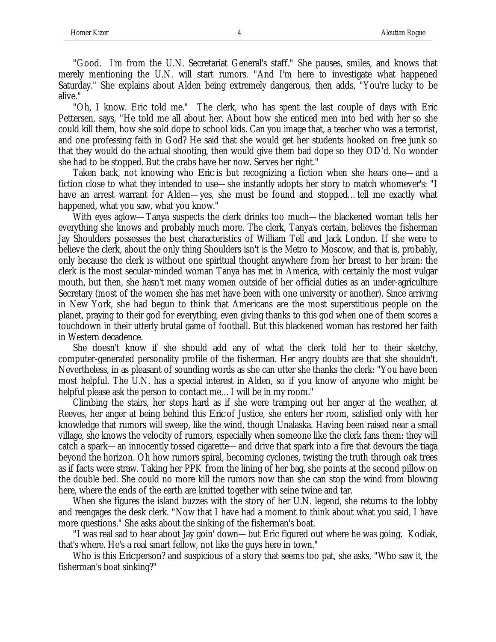"Good. I'm from the U.N. Secretariat General's staff." She pauses, smiles, and knows that merely mentioning the U.N. will start rumors. "And I'm here to investigate what happened Saturday." She explains about Alden being extremely dangerous, then adds, "You're lucky to be alive."

"Oh, I know. Eric told me." The clerk, who has spent the last couple of days with Eric Pettersen, says, "He told me all about her. About how she enticed men into bed with her so she could kill them, how she sold dope to school kids. Can you image that, a teacher who was a terrorist, and one professing faith in God? He said that she would get her students hooked on free junk so that they would do the actual shooting, then would give them bad dope so they OD'd. No wonder she had to be stopped. But the crabs have her now. Serves her right."

Taken back, not knowing who *Eric* is but recognizing a fiction when she hears one—and a fiction close to what they intended to use—she instantly adopts her story to match whomever's: "I have an arrest warrant for Alden—yes, she must be found and stopped...tell me exactly what happened, what you saw, what you know."

With eyes aglow—Tanya suspects the clerk drinks too much—the blackened woman tells her everything she knows and probably much more. The clerk, Tanya's certain, believes the fisherman Jay Shoulders possesses the best characteristics of William Tell and Jack London. If she were to believe the clerk, about the only thing Shoulders isn't is the Metro to Moscow, and that is, probably, only because the clerk is without one spiritual thought anywhere from her breast to her brain: the clerk is the most secular-minded woman Tanya has met in America, with certainly the most vulgar mouth, but then, she hasn't met many women outside of her official duties as an under-agriculture Secretary (most of the women she has met have been with one university or another). Since arriving in New York, she had begun to think that Americans are the most superstitious people on the planet, praying to their god for everything, even giving thanks to this god when one of them scores a touchdown in their utterly brutal game of football. But this blackened woman has restored her faith in Western decadence.

She doesn't know if she should add any of what the clerk told her to their sketchy, computer-generated personality profile of the fisherman. Her angry doubts are that she shouldn't. Nevertheless, in as pleasant of sounding words as she can utter she thanks the clerk: "You have been most helpful. The U.N. has a special interest in Alden, so if you know of anyone who might be helpful please ask the person to contact me... I will be in my room."

Climbing the stairs, her steps hard as if she were tramping out her anger at the weather, at Reeves, her anger at being behind this *Eric* of Justice, she enters her room, satisfied only with her knowledge that rumors will sweep, like the wind, though Unalaska. Having been raised near a small village, she knows the velocity of rumors, especially when someone like the clerk fans them: they will catch a spark—an innocently tossed cigarette—and drive that spark into a fire that devours the tiaga beyond the horizon. Oh how rumors spiral, becoming cyclones, twisting the truth through oak trees as if facts were straw. Taking her PPK from the lining of her bag, she points at the second pillow on the double bed. She could no more kill the rumors now than she can stop the wind from blowing here, where the ends of the earth are knitted together with seine twine and tar.

When she figures the island buzzes with the story of her U.N. legend, she returns to the lobby and reengages the desk clerk. "Now that I have had a moment to think about what you said, I have more questions." She asks about the sinking of the fisherman's boat.

"I was real sad to hear about Jay goin' down—but Eric figured out where he was going. Kodiak, that's where. He's a real smart fellow, not like the guys here in town."

Who is this *Eric* person? and suspicious of a story that seems too pat, she asks, "Who saw it, the fisherman's boat sinking?"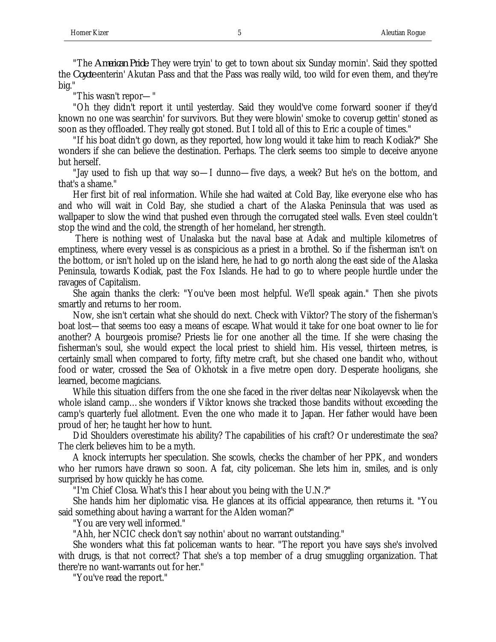"The *American Pride*. They were tryin' to get to town about six Sunday mornin'. Said they spotted the *Coyote* enterin' Akutan Pass and that the Pass was really wild, too wild for even them, and they're big."

"This wasn't repor—"

"Oh they didn't report it until yesterday. Said they would've come forward sooner if they'd known no one was searchin' for survivors. But they were blowin' smoke to coverup gettin' stoned as soon as they offloaded. They really got stoned. But I told all of this to Eric a couple of times."

"If his boat didn't go down, as they reported, how long would it take him to reach Kodiak?" She wonders if she can believe the destination. Perhaps. The clerk seems too simple to deceive anyone but herself.

"Jay used to fish up that way so—I dunno—five days, a week? But he's on the bottom, and that's a shame."

Her first bit of real information. While she had waited at Cold Bay, like everyone else who has and who will wait in Cold Bay, she studied a chart of the Alaska Peninsula that was used as wallpaper to slow the wind that pushed even through the corrugated steel walls. Even steel couldn't stop the wind and the cold, the strength of her homeland, her strength.

 There is nothing west of Unalaska but the naval base at Adak and multiple kilometres of emptiness, where every vessel is as conspicious as a priest in a brothel. So if the fisherman isn't on the bottom, or isn't holed up on the island here, he had to go north along the east side of the Alaska Peninsula, towards Kodiak, past the Fox Islands. He had to go to where people hurdle under the ravages of Capitalism.

She again thanks the clerk: "You've been most helpful. We'll speak again." Then she pivots smartly and returns to her room.

Now, she isn't certain what she should do next. Check with Viktor? The story of the fisherman's boat lost—that seems too easy a means of escape. What would it take for one boat owner to lie for another? A bourgeois promise? Priests lie for one another all the time. If she were chasing the fisherman's soul, she would expect the local priest to shield him. His vessel, thirteen metres, is certainly small when compared to forty, fifty metre craft, but she chased one bandit who, without food or water, crossed the Sea of Okhotsk in a five metre open dory. Desperate hooligans, she learned, become magicians.

While this situation differs from the one she faced in the river deltas near Nikolayevsk when the whole island camp…she wonders if Viktor knows she tracked those bandits without exceeding the camp's quarterly fuel allotment. Even the one who made it to Japan. Her father would have been proud of her; he taught her how to hunt.

Did Shoulders overestimate his ability? The capabilities of his craft? Or underestimate the sea? The clerk believes him to be a myth.

A knock interrupts her speculation. She scowls, checks the chamber of her PPK, and wonders who her rumors have drawn so soon. A fat, city policeman. She lets him in, smiles, and is only surprised by how quickly he has come.

"I'm Chief Closa. What's this I hear about you being with the U.N.?"

She hands him her diplomatic visa. He glances at its official appearance, then returns it. "You said something about having a warrant for the Alden woman?"

"You are very well informed."

"Ahh, her NCIC check don't say nothin' about no warrant outstanding."

She wonders what this fat policeman wants to hear. "The report you have says she's involved with drugs, is that not correct? That she's a top member of a drug smuggling organization. That there're no want-warrants out for her."

"You've read the report."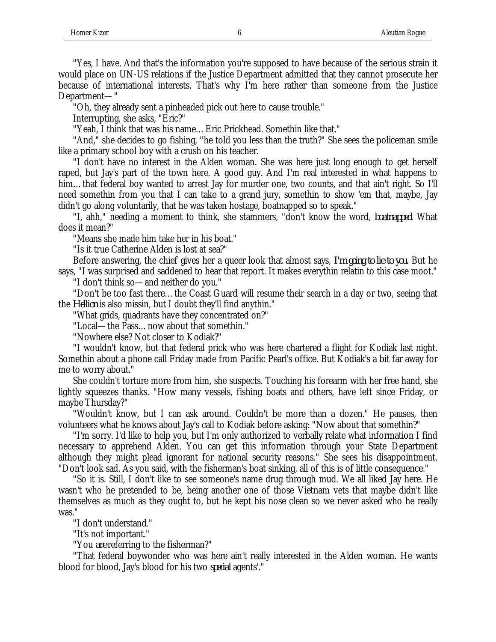"Yes, I have. And that's the information you're supposed to have because of the serious strain it would place on UN-US relations if the Justice Department admitted that they cannot prosecute her because of international interests. That's why I'm here rather than someone from the Justice Department—"

"Oh, they already sent a pinheaded pick out here to cause trouble."

Interrupting, she asks, "Eric?"

"Yeah, I think that was his name…Eric Prickhead. Somethin like that."

"And," she decides to go fishing, "he told you less than the truth?" She sees the policeman smile like a primary school boy with a crush on his teacher.

"I don't have no interest in the Alden woman. She was here just long enough to get herself raped, but Jay's part of the town here. A good guy. And I'm real interested in what happens to him...that federal boy wanted to arrest Jay for murder one, two counts, and that ain't right. So I'll need somethin from you that I can take to a grand jury, somethin to show 'em that, maybe, Jay didn't go along voluntarily, that he was taken hostage, boatnapped so to speak."

"I, ahh," needing a moment to think, she stammers, "don't know the word, *boatnapped*. What does it mean?"

"Means she made him take her in his boat."

"Is it true Catherine Alden is lost at sea?"

Before answering, the chief gives her a queer look that almost says, *I'm going to lie to you.* But he says, "I was surprised and saddened to hear that report. It makes everythin relatin to this case moot."

"I don't think so—and neither do you."

"Don't be too fast there…the Coast Guard will resume their search in a day or two, seeing that the *Hellion* is also missin, but I doubt they'll find anythin."

"What grids, quadrants have they concentrated on?"

"Local—the Pass…now about that somethin."

"Nowhere else? Not closer to Kodiak?"

"I wouldn't know, but that federal prick who was here chartered a flight for Kodiak last night. Somethin about a phone call Friday made from Pacific Pearl's office. But Kodiak's a bit far away for me to worry about."

She couldn't torture more from him, she suspects. Touching his forearm with her free hand, she lightly squeezes thanks. "How many vessels, fishing boats and others, have left since Friday, or maybe Thursday?"

"Wouldn't know, but I can ask around. Couldn't be more than a dozen." He pauses, then volunteers what he knows about Jay's call to Kodiak before asking: "Now about that somethin?"

"I'm sorry. I'd like to help you, but I'm only authorized to verbally relate what information I find necessary to apprehend Alden. You can get this information through your State Department although they might plead ignorant for national security reasons." She sees his disappointment. "Don't look sad. As you said, with the fisherman's boat sinking, all of this is of little consequence."

"So it is. Still, I don't like to see someone's name drug through mud. We all liked Jay here. He wasn't who he pretended to be, being another one of those Vietnam vets that maybe didn't like themselves as much as they ought to, but he kept his nose clean so we never asked who he really was."

"I don't understand."

"It's not important."

"You *are* referring to the fisherman?"

"That federal boywonder who was here ain't really interested in the Alden woman. He wants blood for blood, Jay's blood for his two *special* agents'."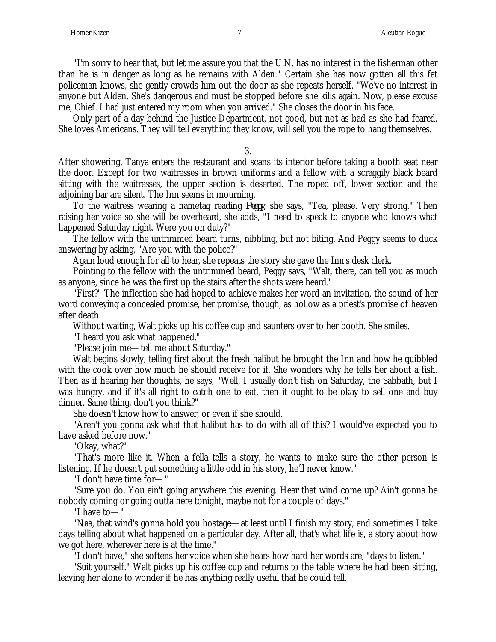"I'm sorry to hear that, but let me assure you that the U.N. has no interest in the fisherman other than he is in danger as long as he remains with Alden." Certain she has now gotten all this fat policeman knows, she gently crowds him out the door as she repeats herself. "We've no interest in anyone but Alden. She's dangerous and must be stopped before she kills again. Now, please excuse me, Chief. I had just entered my room when you arrived." She closes the door in his face.

Only part of a day behind the Justice Department, not good, but not as bad as she had feared. She loves Americans. They will tell everything they know, will sell you the rope to hang themselves.

3.

After showering, Tanya enters the restaurant and scans its interior before taking a booth seat near the door. Except for two waitresses in brown uniforms and a fellow with a scraggily black beard sitting with the waitresses, the upper section is deserted. The roped off, lower section and the adjoining bar are silent. The Inn seems in mourning.

To the waitress wearing a nametag reading *Peggy*, she says, "Tea, please. Very strong." Then raising her voice so she will be overheard, she adds, "I need to speak to anyone who knows what happened Saturday night. Were you on duty?"

The fellow with the untrimmed beard turns, nibbling, but not biting. And Peggy seems to duck answering by asking, "Are you with the police?"

Again loud enough for all to hear, she repeats the story she gave the Inn's desk clerk.

Pointing to the fellow with the untrimmed beard, Peggy says, "Walt, there, can tell you as much as anyone, since he was the first up the stairs after the shots were heard."

"First?" The inflection she had hoped to achieve makes her word an invitation, the sound of her word conveying a concealed promise, her promise, though, as hollow as a priest's promise of heaven after death.

Without waiting, Walt picks up his coffee cup and saunters over to her booth. She smiles.

"I heard you ask what happened."

"Please join me—tell me about Saturday."

Walt begins slowly, telling first about the fresh halibut he brought the Inn and how he quibbled with the cook over how much he should receive for it. She wonders why he tells her about a fish. Then as if hearing her thoughts, he says, "Well, I usually don't fish on Saturday, the Sabbath, but I was hungry, and if it's all right to catch one to eat, then it ought to be okay to sell one and buy dinner. Same thing, don't you think?"

She doesn't know how to answer, or even if she should.

"Aren't you gonna ask what that halibut has to do with all of this? I would've expected you to have asked before now."

"Okay, what?"

"That's more like it. When a fella tells a story, he wants to make sure the other person is listening. If he doesn't put something a little odd in his story, he'll never know."

"I don't have time for—"

"Sure you do. You ain't going anywhere this evening. Hear that wind come up? Ain't gonna be nobody coming or going outta here tonight, maybe not for a couple of days."

"I have to—"

"Naa, that wind's gonna hold you hostage—at least until I finish my story, and sometimes I take days telling about what happened on a particular day. After all, that's what life is, a story about how we got here, wherever here is at the time."

"I don't have," she softens her voice when she hears how hard her words are, "days to listen."

"Suit yourself." Walt picks up his coffee cup and returns to the table where he had been sitting, leaving her alone to wonder if he has anything really useful that he could tell.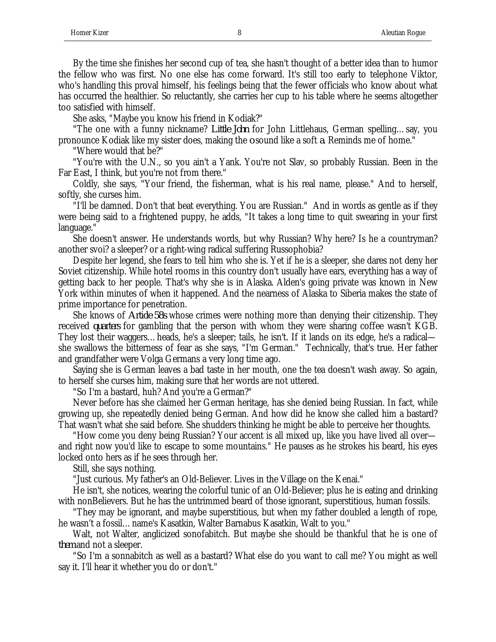By the time she finishes her second cup of tea, she hasn't thought of a better idea than to humor the fellow who was first. No one else has come forward. It's still too early to telephone Viktor, who's handling this proval himself, his feelings being that the fewer officials who know about what has occurred the healthier. So reluctantly, she carries her cup to his table where he seems altogether too satisfied with himself.

She asks, "Maybe you know his friend in Kodiak?"

"The one with a funny nickname? *Little John* for John Littlehaus, German spelling…say, you pronounce Kodiak like my sister does, making the *o* sound like a soft *a*. Reminds me of home."

"Where would that be?"

"You're with the U.N., so you ain't a Yank. You're not Slav, so probably Russian. Been in the Far East, I think, but you're not from there."

Coldly, she says, "Your friend, the fisherman, what is his real name, please." And to herself, softly, she curses him.

"I'll be damned. Don't that beat everything. You are Russian." And in words as gentle as if they were being said to a frightened puppy, he adds, "It takes a long time to quit swearing in your first language."

She doesn't answer. He understands words, but why Russian? Why here? Is he a countryman? another svoi? a sleeper? or a right-wing radical suffering Russophobia?

Despite her legend, she fears to tell him who she is. Yet if he is a sleeper, she dares not deny her Soviet citizenship. While hotel rooms in this country don't usually have ears, everything has a way of getting back to her people. That's why she is in Alaska. Alden's going private was known in New York within minutes of when it happened. And the nearness of Alaska to Siberia makes the state of prime importance for penetration.

She knows of *Article 58s* whose crimes were nothing more than denying their citizenship. They received *quarters* for gambling that the person with whom they were sharing coffee wasn't KGB. They lost their waggers…heads, he's a sleeper; tails, he isn't. If it lands on its edge, he's a radical she swallows the bitterness of fear as she says, "I'm German." Technically, that's true. Her father and grandfather were Volga Germans a very long time ago.

Saying she is German leaves a bad taste in her mouth, one the tea doesn't wash away. So again, to herself she curses him, making sure that her words are not uttered.

"So I'm a bastard, huh? And you're a German?"

Never before has she claimed her German heritage, has she denied being Russian. In fact, while growing up, she repeatedly denied being German. And how did he know she called him a bastard? That wasn't what she said before. She shudders thinking he might be able to perceive her thoughts.

"How come you deny being Russian? Your accent is all mixed up, like you have lived all over and right now you'd like to escape to some mountains." He pauses as he strokes his beard, his eyes locked onto hers as if he sees through her.

Still, she says nothing.

"Just curious. My father's an Old-Believer. Lives in the Village on the Kenai."

He isn't, she notices, wearing the colorful tunic of an Old-Believer; plus he is eating and drinking with nonBelievers. But he has the untrimmed beard of those ignorant, superstitious, human fossils.

"They may be ignorant, and maybe superstitious, but when my father doubled a length of rope, he wasn't a fossil…name's Kasatkin, Walter Barnabus Kasatkin, Walt to you."

Walt, not Walter, anglicized sonofabitch. But maybe she should be thankful that he is one of *them* and not a sleeper.

"So I'm a sonnabitch as well as a bastard? What else do you want to call me? You might as well say it. I'll hear it whether you do or don't."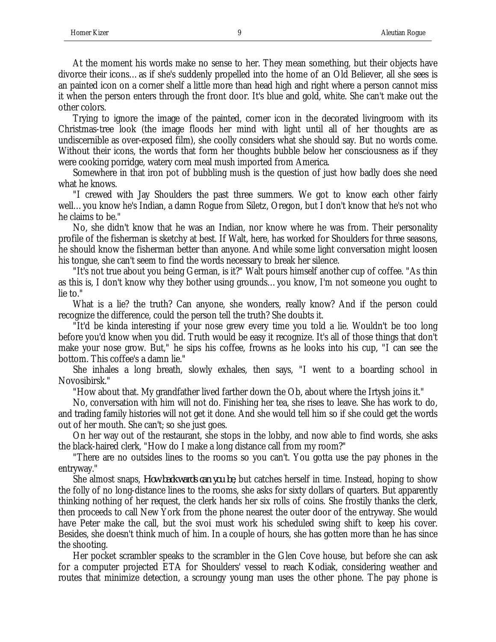At the moment his words make no sense to her. They mean something, but their objects have divorce their icons…as if she's suddenly propelled into the home of an Old Believer, all she sees is an painted icon on a corner shelf a little more than head high and right where a person cannot miss it when the person enters through the front door. It's blue and gold, white. She can't make out the other colors.

Trying to ignore the image of the painted, corner icon in the decorated livingroom with its Christmas-tree look (the image floods her mind with light until all of her thoughts are as undiscernible as over-exposed film), she coolly considers what she should say. But no words come. Without their icons, the words that form her thoughts bubble below her consciousness as if they were cooking porridge, watery corn meal mush imported from America.

Somewhere in that iron pot of bubbling mush is the question of just how badly does she need what he knows.

"I crewed with Jay Shoulders the past three summers. We got to know each other fairly well…you know he's Indian, a damn Rogue from Siletz, Oregon, but I don't know that he's not who he claims to be."

No, she didn't know that he was an Indian, nor know where he was from. Their personality profile of the fisherman is sketchy at best. If Walt, here, has worked for Shoulders for three seasons, he should know the fisherman better than anyone. And while some light conversation might loosen his tongue, she can't seem to find the words necessary to break her silence.

"It's not true about you being German, is it?" Walt pours himself another cup of coffee. "As thin as this is, I don't know why they bother using grounds…you know, I'm not someone you ought to lie to."

What is a lie? the truth? Can anyone, she wonders, really know? And if the person could recognize the difference, could the person tell the truth? She doubts it.

"It'd be kinda interesting if your nose grew every time you told a lie. Wouldn't be too long before you'd know when you did. Truth would be easy it recognize. It's all of those things that don't make your nose grow. But," he sips his coffee, frowns as he looks into his cup, "I can see the bottom. This coffee's a damn lie."

She inhales a long breath, slowly exhales, then says, "I went to a boarding school in Novosibirsk."

"How about that. My grandfather lived farther down the Ob, about where the Irtysh joins it."

No, conversation with him will not do. Finishing her tea, she rises to leave. She has work to do, and trading family histories will not get it done. And she would tell him so if she could get the words out of her mouth. She can't; so she just goes.

On her way out of the restaurant, she stops in the lobby, and now able to find words, she asks the black-haired clerk, "How do I make a long distance call from my room?"

"There are no outsides lines to the rooms so you can't. You gotta use the pay phones in the entryway."

She almost snaps, *How backwards can you be*, but catches herself in time. Instead, hoping to show the folly of no long-distance lines to the rooms, she asks for sixty dollars of quarters. But apparently thinking nothing of her request, the clerk hands her six rolls of coins. She frostily thanks the clerk, then proceeds to call New York from the phone nearest the outer door of the entryway. She would have Peter make the call, but the svoi must work his scheduled swing shift to keep his cover. Besides, she doesn't think much of him. In a couple of hours, she has gotten more than he has since the shooting.

Her pocket scrambler speaks to the scrambler in the Glen Cove house, but before she can ask for a computer projected ETA for Shoulders' vessel to reach Kodiak, considering weather and routes that minimize detection, a scroungy young man uses the other phone. The pay phone is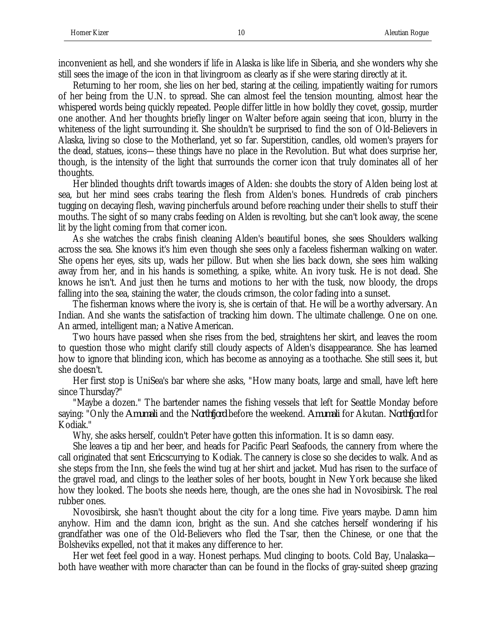inconvenient as hell, and she wonders if life in Alaska is like life in Siberia, and she wonders why she still sees the image of the icon in that livingroom as clearly as if she were staring directly at it.

Returning to her room, she lies on her bed, staring at the ceiling, impatiently waiting for rumors of her being from the U.N. to spread. She can almost feel the tension mounting, almost hear the whispered words being quickly repeated. People differ little in how boldly they covet, gossip, murder one another. And her thoughts briefly linger on Walter before again seeing that icon, blurry in the whiteness of the light surrounding it. She shouldn't be surprised to find the son of Old-Believers in Alaska, living so close to the Motherland, yet so far. Superstition, candles, old women's prayers for the dead, statues, icons—these things have no place in the Revolution. But what does surprise her, though, is the intensity of the light that surrounds the corner icon that truly dominates all of her thoughts.

Her blinded thoughts drift towards images of Alden: she doubts the story of Alden being lost at sea, but her mind sees crabs tearing the flesh from Alden's bones. Hundreds of crab pinchers tugging on decaying flesh, waving pincherfuls around before reaching under their shells to stuff their mouths. The sight of so many crabs feeding on Alden is revolting, but she can't look away, the scene lit by the light coming from that corner icon.

As she watches the crabs finish cleaning Alden's beautiful bones, she sees Shoulders walking across the sea. She knows it's him even though she sees only a faceless fisherman walking on water. She opens her eyes, sits up, wads her pillow. But when she lies back down, she sees him walking away from her, and in his hands is something, a spike, white. An ivory tusk. He is not dead. She knows he isn't. And just then he turns and motions to her with the tusk, now bloody, the drops falling into the sea, staining the water, the clouds crimson, the color fading into a sunset.

The fisherman knows where the ivory is, she is certain of that. He will be a worthy adversary. An Indian. And she wants the satisfaction of tracking him down. The ultimate challenge. One on one. An armed, intelligent man; a Native American.

Two hours have passed when she rises from the bed, straightens her skirt, and leaves the room to question those who might clarify still cloudy aspects of Alden's disappearance. She has learned how to ignore that blinding icon, which has become as annoying as a toothache. She still sees it, but she doesn't.

Her first stop is UniSea's bar where she asks, "How many boats, large and small, have left here since Thursday?"

"Maybe a dozen." The bartender names the fishing vessels that left for Seattle Monday before saying: "Only the *Amumali* and the *Northfjord* before the weekend. *Amumali* for Akutan. *Northfjord* for Kodiak."

Why, she asks herself, couldn't Peter have gotten this information. It is so damn easy.

She leaves a tip and her beer, and heads for Pacific Pearl Seafoods, the cannery from where the call originated that sent *Eric* scurrying to Kodiak. The cannery is close so she decides to walk. And as she steps from the Inn, she feels the wind tug at her shirt and jacket. Mud has risen to the surface of the gravel road, and clings to the leather soles of her boots, bought in New York because she liked how they looked. The boots she needs here, though, are the ones she had in Novosibirsk. The real rubber ones.

Novosibirsk, she hasn't thought about the city for a long time. Five years maybe. Damn him anyhow. Him and the damn icon, bright as the sun. And she catches herself wondering if his grandfather was one of the Old-Believers who fled the Tsar, then the Chinese, or one that the Bolsheviks expelled, not that it makes any difference to her.

Her wet feet feel good in a way. Honest perhaps. Mud clinging to boots. Cold Bay, Unalaska both have weather with more character than can be found in the flocks of gray-suited sheep grazing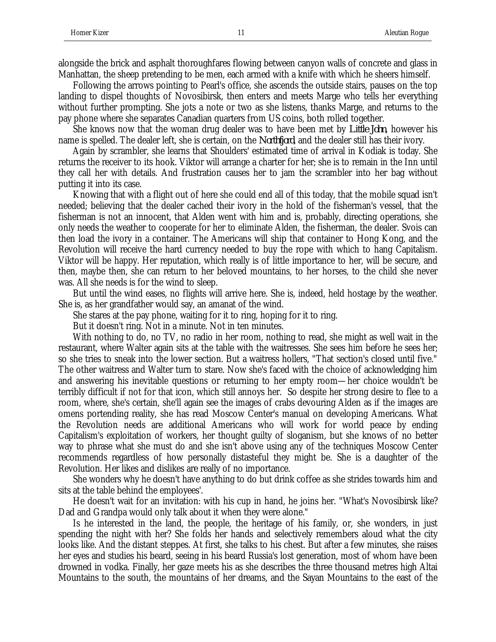alongside the brick and asphalt thoroughfares flowing between canyon walls of concrete and glass in Manhattan, the sheep pretending to be men, each armed with a knife with which he sheers himself.

Following the arrows pointing to Pearl's office, she ascends the outside stairs, pauses on the top landing to dispel thoughts of Novosibirsk, then enters and meets Marge who tells her everything without further prompting. She jots a note or two as she listens, thanks Marge, and returns to the pay phone where she separates Canadian quarters from US coins, both rolled together.

She knows now that the woman drug dealer was to have been met by *Little John*, however his name is spelled. The dealer left, she is certain, on the *Northfjord*, and the dealer still has their ivory.

Again by scrambler, she learns that Shoulders' estimated time of arrival in Kodiak is today. She returns the receiver to its hook. Viktor will arrange a charter for her; she is to remain in the Inn until they call her with details. And frustration causes her to jam the scrambler into her bag without putting it into its case.

Knowing that with a flight out of here she could end all of this today, that the mobile squad isn't needed; believing that the dealer cached their ivory in the hold of the fisherman's vessel, that the fisherman is not an innocent, that Alden went with him and is, probably, directing operations, she only needs the weather to cooperate for her to eliminate Alden, the fisherman, the dealer. Svois can then load the ivory in a container. The Americans will ship that container to Hong Kong, and the Revolution will receive the hard currency needed to buy the rope with which to hang Capitalism. Viktor will be happy. Her reputation, which really is of little importance to her, will be secure, and then, maybe then, she can return to her beloved mountains, to her horses, to the child she never was. All she needs is for the wind to sleep.

But until the wind eases, no flights will arrive here. She is, indeed, held hostage by the weather. She is, as her grandfather would say, an amanat of the wind.

She stares at the pay phone, waiting for it to ring, hoping for it to ring.

But it doesn't ring. Not in a minute. Not in ten minutes.

With nothing to do, no TV, no radio in her room, nothing to read, she might as well wait in the restaurant, where Walter again sits at the table with the waitresses. She sees him before he sees her; so she tries to sneak into the lower section. But a waitress hollers, "That section's closed until five." The other waitress and Walter turn to stare. Now she's faced with the choice of acknowledging him and answering his inevitable questions or returning to her empty room—her choice wouldn't be terribly difficult if not for that icon, which still annoys her. So despite her strong desire to flee to a room, where, she's certain, she'll again see the images of crabs devouring Alden as if the images are omens portending reality, she has read Moscow Center's manual on developing Americans. What the Revolution needs are additional Americans who will work for world peace by ending Capitalism's exploitation of workers, her thought guilty of sloganism, but she knows of no better way to phrase what she must do and she isn't above using any of the techniques Moscow Center recommends regardless of how personally distasteful they might be. She is a daughter of the Revolution. Her likes and dislikes are really of no importance.

She wonders why he doesn't have anything to do but drink coffee as she strides towards him and sits at the table behind the employees'.

He doesn't wait for an invitation: with his cup in hand, he joins her. "What's Novosibirsk like? Dad and Grandpa would only talk about it when they were alone."

Is he interested in the land, the people, the heritage of his family, or, she wonders, in just spending the night with her? She folds her hands and selectively remembers aloud what the city looks like. And the distant steppes. At first, she talks to his chest. But after a few minutes, she raises her eyes and studies his beard, seeing in his beard Russia's lost generation, most of whom have been drowned in vodka. Finally, her gaze meets his as she describes the three thousand metres high Altai Mountains to the south, the mountains of her dreams, and the Sayan Mountains to the east of the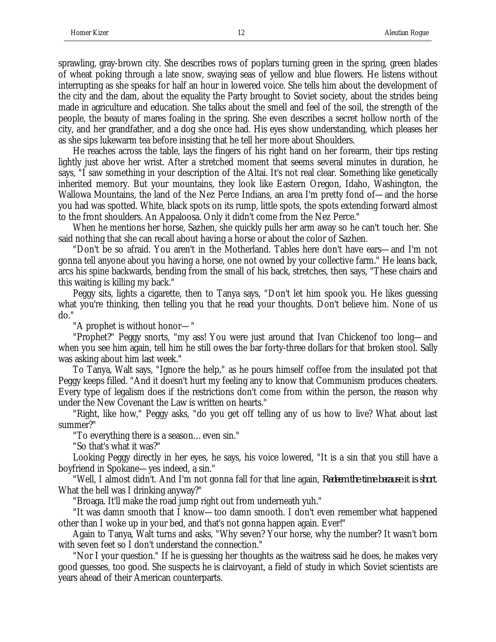sprawling, gray-brown city. She describes rows of poplars turning green in the spring, green blades of wheat poking through a late snow, swaying seas of yellow and blue flowers. He listens without interrupting as she speaks for half an hour in lowered voice. She tells him about the development of the city and the dam, about the equality the Party brought to Soviet society, about the strides being made in agriculture and education. She talks about the smell and feel of the soil, the strength of the people, the beauty of mares foaling in the spring. She even describes a secret hollow north of the city, and her grandfather, and a dog she once had. His eyes show understanding, which pleases her as she sips lukewarm tea before insisting that he tell her more about Shoulders.

He reaches across the table, lays the fingers of his right hand on her forearm, their tips resting lightly just above her wrist. After a stretched moment that seems several minutes in duration, he says, "I saw something in your description of the Altai. It's not real clear. Something like genetically inherited memory. But your mountains, they look like Eastern Oregon, Idaho, Washington, the Wallowa Mountains, the land of the Nez Perce Indians, an area I'm pretty fond of—and the horse you had was spotted. White, black spots on its rump, little spots, the spots extending forward almost to the front shoulders. An Appaloosa. Only it didn't come from the Nez Perce."

When he mentions her horse, Sazhen, she quickly pulls her arm away so he can't touch her. She said nothing that she can recall about having a horse or about the color of Sazhen.

"Don't be so afraid. You aren't in the Motherland. Tables here don't have ears—and I'm not gonna tell anyone about you having a horse, one not owned by your collective farm." He leans back, arcs his spine backwards, bending from the small of his back, stretches, then says, "These chairs and this waiting is killing my back."

Peggy sits, lights a cigarette, then to Tanya says, "Don't let him spook you. He likes guessing what you're thinking, then telling you that he read your thoughts. Don't believe him. None of us do."

"A prophet is without honor—"

"Prophet?" Peggy snorts, "my ass! You were just around that Ivan Chickenof too long—and when you see him again, tell him he still owes the bar forty-three dollars for that broken stool. Sally was asking about him last week."

To Tanya, Walt says, "Ignore the help," as he pours himself coffee from the insulated pot that Peggy keeps filled. "And it doesn't hurt my feeling any to know that Communism produces cheaters. Every type of legalism does if the restrictions don't come from within the person, the reason why under the New Covenant the Law is written on hearts."

"Right, like how," Peggy asks, "do you get off telling any of us how to live? What about last summer?"

"To everything there is a season…even sin."

"So that's what it was?"

Looking Peggy directly in her eyes, he says, his voice lowered, "It is a sin that you still have a boyfriend in Spokane—yes indeed, a sin."

"Well, I almost didn't. And I'm not gonna fall for that line again, *Redeem the time because it is short*. What the hell was I drinking anyway?"

"Broaga. It'll make the road jump right out from underneath yuh."

"It was damn smooth that I know—too damn smooth. I don't even remember what happened other than I woke up in your bed, and that's not gonna happen again. Ever!"

Again to Tanya, Walt turns and asks, "Why seven? Your horse, why the number? It wasn't born with seven feet so I don't understand the connection."

"Nor I your question." If he is guessing her thoughts as the waitress said he does, he makes very good guesses, too good. She suspects he is clairvoyant, a field of study in which Soviet scientists are years ahead of their American counterparts.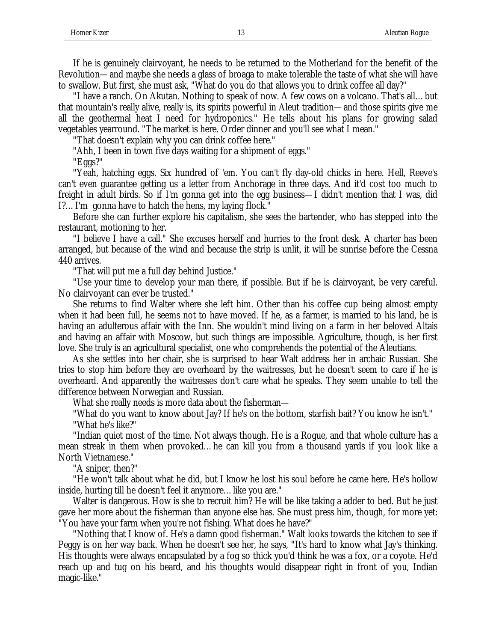If he is genuinely clairvoyant, he needs to be returned to the Motherland for the benefit of the Revolution—and maybe she needs a glass of broaga to make tolerable the taste of what she will have to swallow. But first, she must ask, "What do you do that allows you to drink coffee all day?"

"I have a ranch. On Akutan. Nothing to speak of now. A few cows on a volcano. That's all…but that mountain's really alive, really is, its spirits powerful in Aleut tradition—and those spirits give me all the geothermal heat I need for hydroponics." He tells about his plans for growing salad vegetables yearround. "The market is here. Order dinner and you'll see what I mean."

"That doesn't explain why you can drink coffee here."

"Ahh, I been in town five days waiting for a shipment of eggs."

"Eggs?"

"Yeah, hatching eggs. Six hundred of 'em. You can't fly day-old chicks in here. Hell, Reeve's can't even guarantee getting us a letter from Anchorage in three days. And it'd cost too much to freight in adult birds. So if I'm gonna get into the egg business—I didn't mention that I was, did I?…I'm gonna have to hatch the hens, my laying flock."

Before she can further explore his capitalism, she sees the bartender, who has stepped into the restaurant, motioning to her.

"I believe I have a call." She excuses herself and hurries to the front desk. A charter has been arranged, but because of the wind and because the strip is unlit, it will be sunrise before the Cessna 440 arrives.

"That will put me a full day behind Justice."

"Use your time to develop your man there, if possible. But if he is clairvoyant, be very careful. No clairvoyant can ever be trusted."

She returns to find Walter where she left him. Other than his coffee cup being almost empty when it had been full, he seems not to have moved. If he, as a farmer, is married to his land, he is having an adulterous affair with the Inn. She wouldn't mind living on a farm in her beloved Altais and having an affair with Moscow, but such things are impossible. Agriculture, though, is her first love. She truly is an agricultural specialist, one who comprehends the potential of the Aleutians.

As she settles into her chair, she is surprised to hear Walt address her in archaic Russian. She tries to stop him before they are overheard by the waitresses, but he doesn't seem to care if he is overheard. And apparently the waitresses don't care what he speaks. They seem unable to tell the difference between Norwegian and Russian.

What she really needs is more data about the fisherman—

"What do you want to know about Jay? If he's on the bottom, starfish bait? You know he isn't." "What he's like?"

"Indian quiet most of the time. Not always though. He is a Rogue, and that whole culture has a mean streak in them when provoked…he can kill you from a thousand yards if you look like a North Vietnamese."

"A sniper, then?"

"He won't talk about what he did, but I know he lost his soul before he came here. He's hollow inside, hurting till he doesn't feel it anymore…like you are."

Walter is dangerous. How is she to recruit him? He will be like taking a adder to bed. But he just gave her more about the fisherman than anyone else has. She must press him, though, for more yet: "You have your farm when you're not fishing. What does he have?"

"Nothing that I know of. He's a damn good fisherman." Walt looks towards the kitchen to see if Peggy is on her way back. When he doesn't see her, he says, "It's hard to know what Jay's thinking. His thoughts were always encapsulated by a fog so thick you'd think he was a fox, or a coyote. He'd reach up and tug on his beard, and his thoughts would disappear right in front of you, Indian magic-like."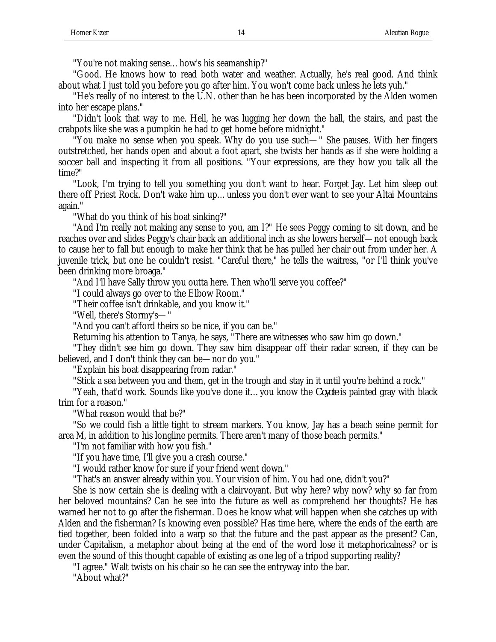"You're not making sense…how's his seamanship?"

"Good. He knows how to read both water and weather. Actually, he's real good. And think about what I just told you before you go after him. You won't come back unless he lets yuh."

"He's really of no interest to the U.N. other than he has been incorporated by the Alden women into her escape plans."

"Didn't look that way to me. Hell, he was lugging her down the hall, the stairs, and past the crabpots like she was a pumpkin he had to get home before midnight."

"You make no sense when you speak. Why do you use such—" She pauses. With her fingers outstretched, her hands open and about a foot apart, she twists her hands as if she were holding a soccer ball and inspecting it from all positions. "Your expressions, are they how you talk all the time?"

"Look, I'm trying to tell you something you don't want to hear. Forget Jay. Let him sleep out there off Priest Rock. Don't wake him up…unless you don't ever want to see your Altai Mountains again."

"What do you think of his boat sinking?"

"And I'm really not making any sense to you, am I?" He sees Peggy coming to sit down, and he reaches over and slides Peggy's chair back an additional inch as she lowers herself—not enough back to cause her to fall but enough to make her think that he has pulled her chair out from under her. A juvenile trick, but one he couldn't resist. "Careful there," he tells the waitress, "or I'll think you've been drinking more broaga."

"And I'll have Sally throw you outta here. Then who'll serve you coffee?"

"I could always go over to the Elbow Room."

"Their coffee isn't drinkable, and you know it."

"Well, there's Stormy's—"

"And you can't afford theirs so be nice, if you can be."

Returning his attention to Tanya, he says, "There are witnesses who saw him go down."

"They didn't see him go down. They saw him disappear off their radar screen, if they can be believed, and I don't think they can be—nor do you."

"Explain his boat disappearing from radar."

"Stick a sea between you and them, get in the trough and stay in it until you're behind a rock."

"Yeah, that'd work. Sounds like you've done it…you know the *Coyote* is painted gray with black trim for a reason."

"What reason would that be?"

"So we could fish a little tight to stream markers. You know, Jay has a beach seine permit for area M, in addition to his longline permits. There aren't many of those beach permits."

"I'm not familiar with how you fish."

"If you have time, I'll give you a crash course."

"I would rather know for sure if your friend went down."

"That's an answer already within you. Your vision of him. You had one, didn't you?"

She is now certain she is dealing with a clairvoyant. But why here? why now? why so far from her beloved mountains? Can he see into the future as well as comprehend her thoughts? He has warned her not to go after the fisherman. Does he know what will happen when she catches up with Alden and the fisherman? Is knowing even possible? Has time here, where the ends of the earth are tied together, been folded into a warp so that the future and the past appear as the present? Can, under Capitalism, a metaphor about being at the end of the word lose it metaphoricalness? or is even the sound of this thought capable of existing as one leg of a tripod supporting reality?

"I agree." Walt twists on his chair so he can see the entryway into the bar.

"About what?"